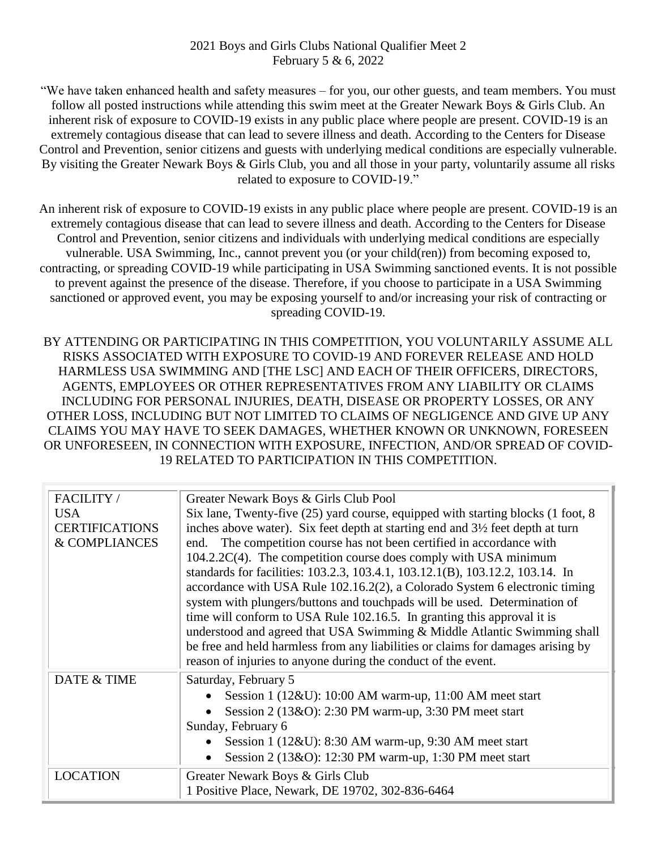## 2021 Boys and Girls Clubs National Qualifier Meet 2 February 5 & 6, 2022

"We have taken enhanced health and safety measures – for you, our other guests, and team members. You must follow all posted instructions while attending this swim meet at the Greater Newark Boys & Girls Club. An inherent risk of exposure to COVID-19 exists in any public place where people are present. COVID-19 is an extremely contagious disease that can lead to severe illness and death. According to the Centers for Disease Control and Prevention, senior citizens and guests with underlying medical conditions are especially vulnerable. By visiting the Greater Newark Boys & Girls Club, you and all those in your party, voluntarily assume all risks related to exposure to COVID-19."

An inherent risk of exposure to COVID-19 exists in any public place where people are present. COVID-19 is an extremely contagious disease that can lead to severe illness and death. According to the Centers for Disease Control and Prevention, senior citizens and individuals with underlying medical conditions are especially vulnerable. USA Swimming, Inc., cannot prevent you (or your child(ren)) from becoming exposed to, contracting, or spreading COVID-19 while participating in USA Swimming sanctioned events. It is not possible to prevent against the presence of the disease. Therefore, if you choose to participate in a USA Swimming sanctioned or approved event, you may be exposing yourself to and/or increasing your risk of contracting or spreading COVID-19.

BY ATTENDING OR PARTICIPATING IN THIS COMPETITION, YOU VOLUNTARILY ASSUME ALL RISKS ASSOCIATED WITH EXPOSURE TO COVID-19 AND FOREVER RELEASE AND HOLD HARMLESS USA SWIMMING AND [THE LSC] AND EACH OF THEIR OFFICERS, DIRECTORS, AGENTS, EMPLOYEES OR OTHER REPRESENTATIVES FROM ANY LIABILITY OR CLAIMS INCLUDING FOR PERSONAL INJURIES, DEATH, DISEASE OR PROPERTY LOSSES, OR ANY OTHER LOSS, INCLUDING BUT NOT LIMITED TO CLAIMS OF NEGLIGENCE AND GIVE UP ANY CLAIMS YOU MAY HAVE TO SEEK DAMAGES, WHETHER KNOWN OR UNKNOWN, FORESEEN OR UNFORESEEN, IN CONNECTION WITH EXPOSURE, INFECTION, AND/OR SPREAD OF COVID-19 RELATED TO PARTICIPATION IN THIS COMPETITION.

| FACILITY /            | Greater Newark Boys & Girls Club Pool                                                                    |  |  |  |  |  |  |  |  |
|-----------------------|----------------------------------------------------------------------------------------------------------|--|--|--|--|--|--|--|--|
| <b>USA</b>            | Six lane, Twenty-five (25) yard course, equipped with starting blocks (1 foot, 8                         |  |  |  |  |  |  |  |  |
| <b>CERTIFICATIONS</b> | inches above water). Six feet depth at starting end and 3 <sup>1</sup> / <sub>2</sub> feet depth at turn |  |  |  |  |  |  |  |  |
| & COMPLIANCES         | The competition course has not been certified in accordance with<br>end.                                 |  |  |  |  |  |  |  |  |
|                       | 104.2.2C(4). The competition course does comply with USA minimum                                         |  |  |  |  |  |  |  |  |
|                       | standards for facilities: 103.2.3, 103.4.1, 103.12.1(B), 103.12.2, 103.14. In                            |  |  |  |  |  |  |  |  |
|                       | accordance with USA Rule 102.16.2(2), a Colorado System 6 electronic timing                              |  |  |  |  |  |  |  |  |
|                       | system with plungers/buttons and touchpads will be used. Determination of                                |  |  |  |  |  |  |  |  |
|                       | time will conform to USA Rule 102.16.5. In granting this approval it is                                  |  |  |  |  |  |  |  |  |
|                       | understood and agreed that USA Swimming & Middle Atlantic Swimming shall                                 |  |  |  |  |  |  |  |  |
|                       | be free and held harmless from any liabilities or claims for damages arising by                          |  |  |  |  |  |  |  |  |
|                       | reason of injuries to anyone during the conduct of the event.                                            |  |  |  |  |  |  |  |  |
| DATE & TIME           | Saturday, February 5                                                                                     |  |  |  |  |  |  |  |  |
|                       | Session 1 (12&U): 10:00 AM warm-up, 11:00 AM meet start<br>$\bullet$                                     |  |  |  |  |  |  |  |  |
|                       | Session $2(13\&O)$ : 2:30 PM warm-up, 3:30 PM meet start                                                 |  |  |  |  |  |  |  |  |
|                       | Sunday, February 6                                                                                       |  |  |  |  |  |  |  |  |
|                       | Session 1 ( $12\&U$ ): 8:30 AM warm-up, 9:30 AM meet start<br>$\bullet$                                  |  |  |  |  |  |  |  |  |
|                       | Session 2 (13&O): 12:30 PM warm-up, 1:30 PM meet start<br>$\bullet$                                      |  |  |  |  |  |  |  |  |
| <b>LOCATION</b>       | Greater Newark Boys & Girls Club                                                                         |  |  |  |  |  |  |  |  |
|                       | 1 Positive Place, Newark, DE 19702, 302-836-6464                                                         |  |  |  |  |  |  |  |  |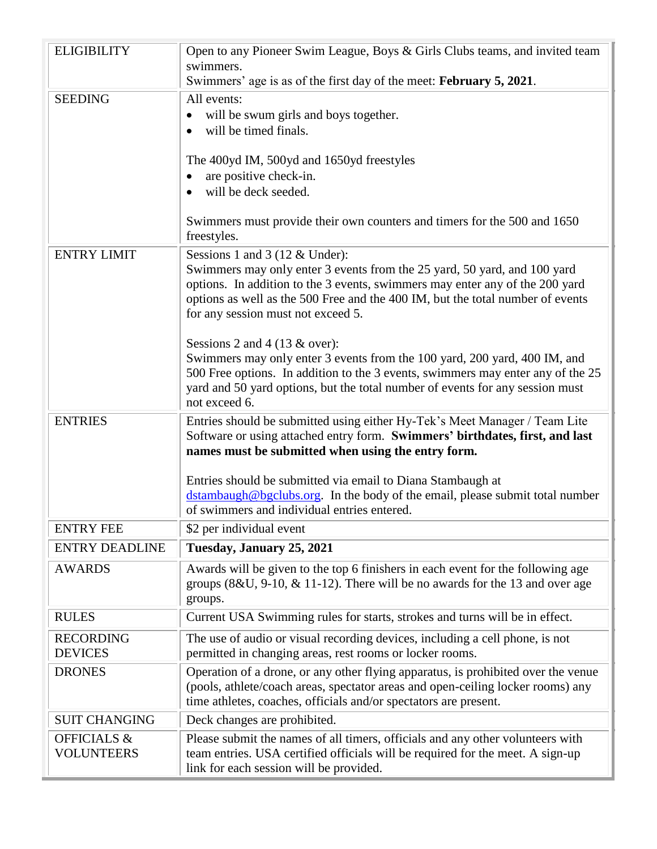| <b>ELIGIBILITY</b>     | Open to any Pioneer Swim League, Boys & Girls Clubs teams, and invited team<br>swimmers.                                                    |  |  |  |  |  |  |
|------------------------|---------------------------------------------------------------------------------------------------------------------------------------------|--|--|--|--|--|--|
|                        | Swimmers' age is as of the first day of the meet: February 5, 2021.                                                                         |  |  |  |  |  |  |
| <b>SEEDING</b>         | All events:                                                                                                                                 |  |  |  |  |  |  |
|                        | will be swum girls and boys together.                                                                                                       |  |  |  |  |  |  |
|                        | will be timed finals.                                                                                                                       |  |  |  |  |  |  |
|                        |                                                                                                                                             |  |  |  |  |  |  |
|                        | The 400yd IM, 500yd and 1650yd freestyles                                                                                                   |  |  |  |  |  |  |
|                        | are positive check-in.<br>will be deck seeded.                                                                                              |  |  |  |  |  |  |
|                        |                                                                                                                                             |  |  |  |  |  |  |
|                        | Swimmers must provide their own counters and timers for the 500 and 1650<br>freestyles.                                                     |  |  |  |  |  |  |
| <b>ENTRY LIMIT</b>     | Sessions 1 and 3 (12 & Under):                                                                                                              |  |  |  |  |  |  |
|                        | Swimmers may only enter 3 events from the 25 yard, 50 yard, and 100 yard                                                                    |  |  |  |  |  |  |
|                        | options. In addition to the 3 events, swimmers may enter any of the 200 yard                                                                |  |  |  |  |  |  |
|                        | options as well as the 500 Free and the 400 IM, but the total number of events                                                              |  |  |  |  |  |  |
|                        | for any session must not exceed 5.                                                                                                          |  |  |  |  |  |  |
|                        | Sessions 2 and 4 (13 $\&$ over):                                                                                                            |  |  |  |  |  |  |
|                        | Swimmers may only enter 3 events from the 100 yard, 200 yard, 400 IM, and                                                                   |  |  |  |  |  |  |
|                        | 500 Free options. In addition to the 3 events, swimmers may enter any of the 25                                                             |  |  |  |  |  |  |
|                        | yard and 50 yard options, but the total number of events for any session must                                                               |  |  |  |  |  |  |
|                        | not exceed 6.                                                                                                                               |  |  |  |  |  |  |
| <b>ENTRIES</b>         | Entries should be submitted using either Hy-Tek's Meet Manager / Team Lite                                                                  |  |  |  |  |  |  |
|                        | Software or using attached entry form. Swimmers' birthdates, first, and last                                                                |  |  |  |  |  |  |
|                        | names must be submitted when using the entry form.                                                                                          |  |  |  |  |  |  |
|                        |                                                                                                                                             |  |  |  |  |  |  |
|                        | Entries should be submitted via email to Diana Stambaugh at<br>dstambaugh@bgclubs.org. In the body of the email, please submit total number |  |  |  |  |  |  |
|                        | of swimmers and individual entries entered.                                                                                                 |  |  |  |  |  |  |
| <b>ENTRY FEE</b>       | \$2 per individual event                                                                                                                    |  |  |  |  |  |  |
| <b>ENTRY DEADLINE</b>  | Tuesday, January 25, 2021                                                                                                                   |  |  |  |  |  |  |
|                        |                                                                                                                                             |  |  |  |  |  |  |
| <b>AWARDS</b>          | Awards will be given to the top 6 finishers in each event for the following age                                                             |  |  |  |  |  |  |
|                        | groups $(8&U, 9-10, \& 11-12)$ . There will be no awards for the 13 and over age<br>groups.                                                 |  |  |  |  |  |  |
|                        |                                                                                                                                             |  |  |  |  |  |  |
| <b>RULES</b>           | Current USA Swimming rules for starts, strokes and turns will be in effect.                                                                 |  |  |  |  |  |  |
| <b>RECORDING</b>       | The use of audio or visual recording devices, including a cell phone, is not                                                                |  |  |  |  |  |  |
| <b>DEVICES</b>         | permitted in changing areas, rest rooms or locker rooms.                                                                                    |  |  |  |  |  |  |
| <b>DRONES</b>          | Operation of a drone, or any other flying apparatus, is prohibited over the venue                                                           |  |  |  |  |  |  |
|                        | (pools, athlete/coach areas, spectator areas and open-ceiling locker rooms) any                                                             |  |  |  |  |  |  |
|                        | time athletes, coaches, officials and/or spectators are present.                                                                            |  |  |  |  |  |  |
| <b>SUIT CHANGING</b>   | Deck changes are prohibited.                                                                                                                |  |  |  |  |  |  |
| <b>OFFICIALS &amp;</b> | Please submit the names of all timers, officials and any other volunteers with                                                              |  |  |  |  |  |  |
| <b>VOLUNTEERS</b>      | team entries. USA certified officials will be required for the meet. A sign-up                                                              |  |  |  |  |  |  |
|                        | link for each session will be provided.                                                                                                     |  |  |  |  |  |  |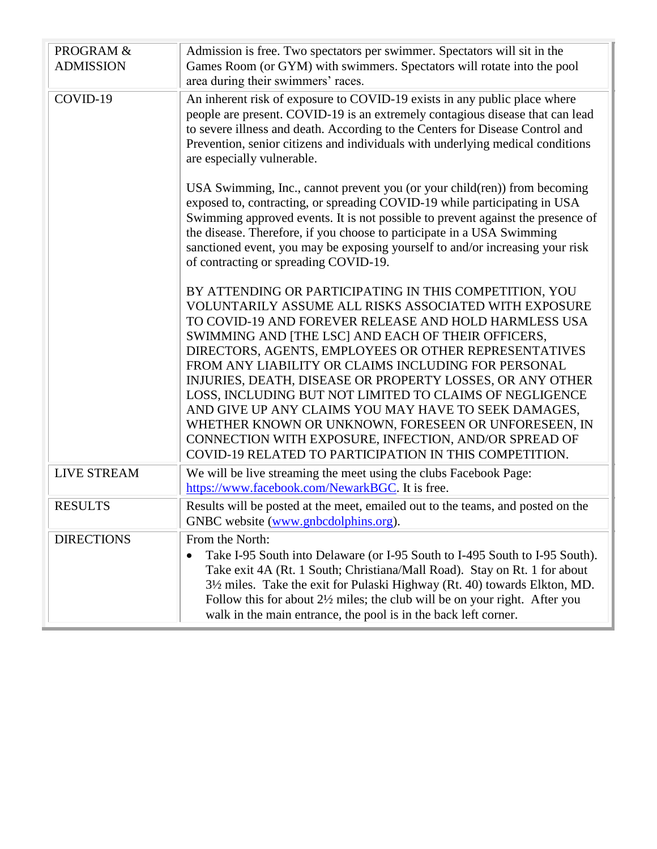| PROGRAM &<br><b>ADMISSION</b> | Admission is free. Two spectators per swimmer. Spectators will sit in the<br>Games Room (or GYM) with swimmers. Spectators will rotate into the pool<br>area during their swimmers' races.                                                                                                                                                                                                                                                                                                                                                                                                                                                                                                                |  |  |  |  |  |
|-------------------------------|-----------------------------------------------------------------------------------------------------------------------------------------------------------------------------------------------------------------------------------------------------------------------------------------------------------------------------------------------------------------------------------------------------------------------------------------------------------------------------------------------------------------------------------------------------------------------------------------------------------------------------------------------------------------------------------------------------------|--|--|--|--|--|
| COVID-19                      | An inherent risk of exposure to COVID-19 exists in any public place where<br>people are present. COVID-19 is an extremely contagious disease that can lead<br>to severe illness and death. According to the Centers for Disease Control and<br>Prevention, senior citizens and individuals with underlying medical conditions<br>are especially vulnerable.                                                                                                                                                                                                                                                                                                                                               |  |  |  |  |  |
|                               | USA Swimming, Inc., cannot prevent you (or your child(ren)) from becoming<br>exposed to, contracting, or spreading COVID-19 while participating in USA<br>Swimming approved events. It is not possible to prevent against the presence of<br>the disease. Therefore, if you choose to participate in a USA Swimming<br>sanctioned event, you may be exposing yourself to and/or increasing your risk<br>of contracting or spreading COVID-19.                                                                                                                                                                                                                                                             |  |  |  |  |  |
|                               | BY ATTENDING OR PARTICIPATING IN THIS COMPETITION, YOU<br>VOLUNTARILY ASSUME ALL RISKS ASSOCIATED WITH EXPOSURE<br>TO COVID-19 AND FOREVER RELEASE AND HOLD HARMLESS USA<br>SWIMMING AND [THE LSC] AND EACH OF THEIR OFFICERS,<br>DIRECTORS, AGENTS, EMPLOYEES OR OTHER REPRESENTATIVES<br>FROM ANY LIABILITY OR CLAIMS INCLUDING FOR PERSONAL<br>INJURIES, DEATH, DISEASE OR PROPERTY LOSSES, OR ANY OTHER<br>LOSS, INCLUDING BUT NOT LIMITED TO CLAIMS OF NEGLIGENCE<br>AND GIVE UP ANY CLAIMS YOU MAY HAVE TO SEEK DAMAGES,<br>WHETHER KNOWN OR UNKNOWN, FORESEEN OR UNFORESEEN, IN<br>CONNECTION WITH EXPOSURE, INFECTION, AND/OR SPREAD OF<br>COVID-19 RELATED TO PARTICIPATION IN THIS COMPETITION. |  |  |  |  |  |
| <b>LIVE STREAM</b>            | We will be live streaming the meet using the clubs Facebook Page:<br>https://www.facebook.com/NewarkBGC. It is free.                                                                                                                                                                                                                                                                                                                                                                                                                                                                                                                                                                                      |  |  |  |  |  |
| <b>RESULTS</b>                | Results will be posted at the meet, emailed out to the teams, and posted on the<br>GNBC website (www.gnbcdolphins.org).                                                                                                                                                                                                                                                                                                                                                                                                                                                                                                                                                                                   |  |  |  |  |  |
| <b>DIRECTIONS</b>             | From the North:<br>Take I-95 South into Delaware (or I-95 South to I-495 South to I-95 South).<br>Take exit 4A (Rt. 1 South; Christiana/Mall Road). Stay on Rt. 1 for about<br>3½ miles. Take the exit for Pulaski Highway (Rt. 40) towards Elkton, MD.<br>Follow this for about $2\frac{1}{2}$ miles; the club will be on your right. After you<br>walk in the main entrance, the pool is in the back left corner.                                                                                                                                                                                                                                                                                       |  |  |  |  |  |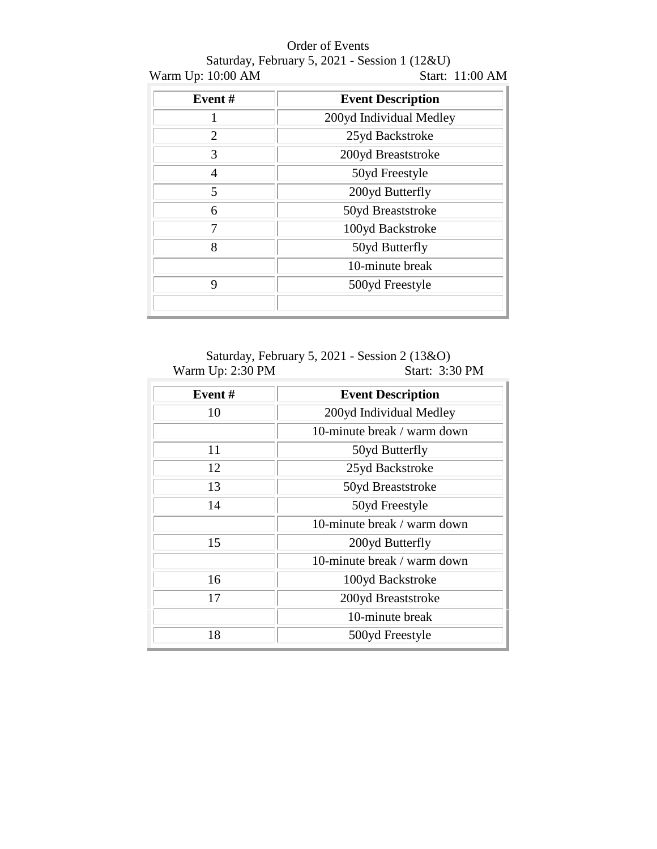## Order of Events

## Saturday, February 5, 2021 - Session 1 (12&U)<br>10:00 AM Start: 11:00 AM Warm Up: 10:00 AM

| Event#                | <b>Event Description</b> |  |  |  |  |  |
|-----------------------|--------------------------|--|--|--|--|--|
|                       | 200yd Individual Medley  |  |  |  |  |  |
| $\mathcal{D}_{\cdot}$ | 25yd Backstroke          |  |  |  |  |  |
| 3                     | 200yd Breaststroke       |  |  |  |  |  |
| 4                     | 50yd Freestyle           |  |  |  |  |  |
| 5                     | 200yd Butterfly          |  |  |  |  |  |
| 6                     | 50yd Breaststroke        |  |  |  |  |  |
|                       | 100yd Backstroke         |  |  |  |  |  |
| 8                     | 50yd Butterfly           |  |  |  |  |  |
|                       | 10-minute break          |  |  |  |  |  |
| 9                     | 500yd Freestyle          |  |  |  |  |  |
|                       |                          |  |  |  |  |  |

Saturday, February 5, 2021 - Session 2 (13&O)<br>I Up: 2:30 PM Start: 3:30 PM Warm Up:  $2:30$  PM

| Event# | <b>Event Description</b>    |  |  |  |  |  |  |
|--------|-----------------------------|--|--|--|--|--|--|
| 10     | 200yd Individual Medley     |  |  |  |  |  |  |
|        | 10-minute break / warm down |  |  |  |  |  |  |
| 11     | 50yd Butterfly              |  |  |  |  |  |  |
| 12     | 25yd Backstroke             |  |  |  |  |  |  |
| 13     | 50yd Breaststroke           |  |  |  |  |  |  |
| 14     | 50yd Freestyle              |  |  |  |  |  |  |
|        | 10-minute break / warm down |  |  |  |  |  |  |
| 15     | 200yd Butterfly             |  |  |  |  |  |  |
|        | 10-minute break / warm down |  |  |  |  |  |  |
| 16     | 100yd Backstroke            |  |  |  |  |  |  |
| 17     | 200yd Breaststroke          |  |  |  |  |  |  |
|        | 10-minute break             |  |  |  |  |  |  |
| 18     | 500yd Freestyle             |  |  |  |  |  |  |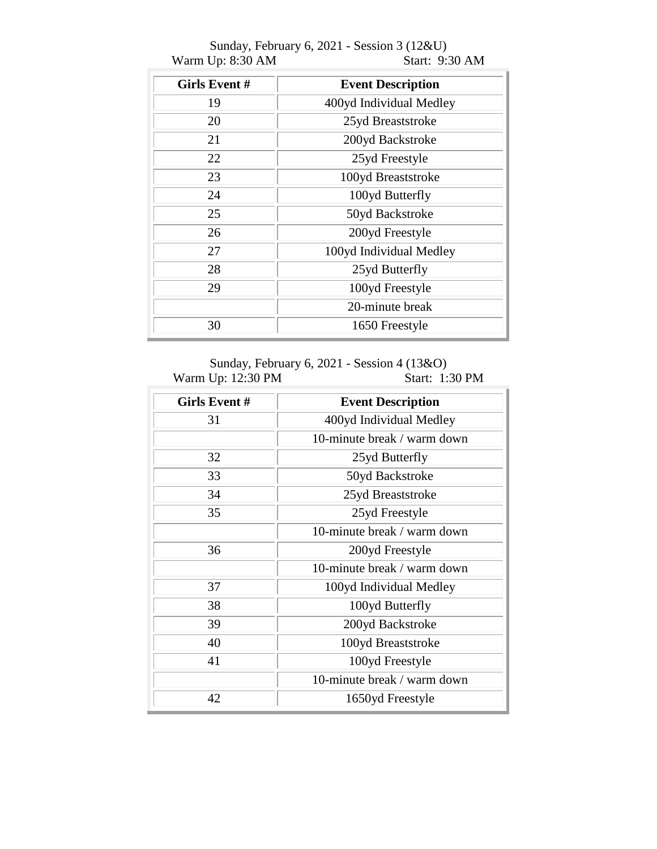| <b>Girls Event #</b> | <b>Event Description</b> |  |  |  |  |  |
|----------------------|--------------------------|--|--|--|--|--|
| 19                   | 400yd Individual Medley  |  |  |  |  |  |
| 20                   | 25yd Breaststroke        |  |  |  |  |  |
| 21                   | 200yd Backstroke         |  |  |  |  |  |
| 22                   | 25yd Freestyle           |  |  |  |  |  |
| 23                   | 100yd Breaststroke       |  |  |  |  |  |
| 24                   | 100yd Butterfly          |  |  |  |  |  |
| 25                   | 50yd Backstroke          |  |  |  |  |  |
| 26                   | 200yd Freestyle          |  |  |  |  |  |
| 27                   | 100yd Individual Medley  |  |  |  |  |  |
| 28                   | 25yd Butterfly           |  |  |  |  |  |
| 29                   | 100yd Freestyle          |  |  |  |  |  |
|                      | 20-minute break          |  |  |  |  |  |
| 30                   | 1650 Freestyle           |  |  |  |  |  |

Sunday, February 6, 2021 - Session 3 (12&U) Warm Up: 8:30 AM Start: 9:30 AM

Sunday, February 6, 2021 - Session 4 (13&O)<br>Up: 12:30 PM Start: 1:30 PM Warm Up: 12:30 PM

| Girls Event # | <b>Event Description</b>    |
|---------------|-----------------------------|
| 31            | 400yd Individual Medley     |
|               | 10-minute break / warm down |
| 32            | 25yd Butterfly              |
| 33            | 50yd Backstroke             |
| 34            | 25yd Breaststroke           |
| 35            | 25yd Freestyle              |
|               | 10-minute break / warm down |
| 36            | 200yd Freestyle             |
|               | 10-minute break / warm down |
| 37            | 100yd Individual Medley     |
| 38            | 100yd Butterfly             |
| 39            | 200yd Backstroke            |
| 40            | 100yd Breaststroke          |
| 41            | 100yd Freestyle             |
|               | 10-minute break / warm down |
| 42            | 1650yd Freestyle            |